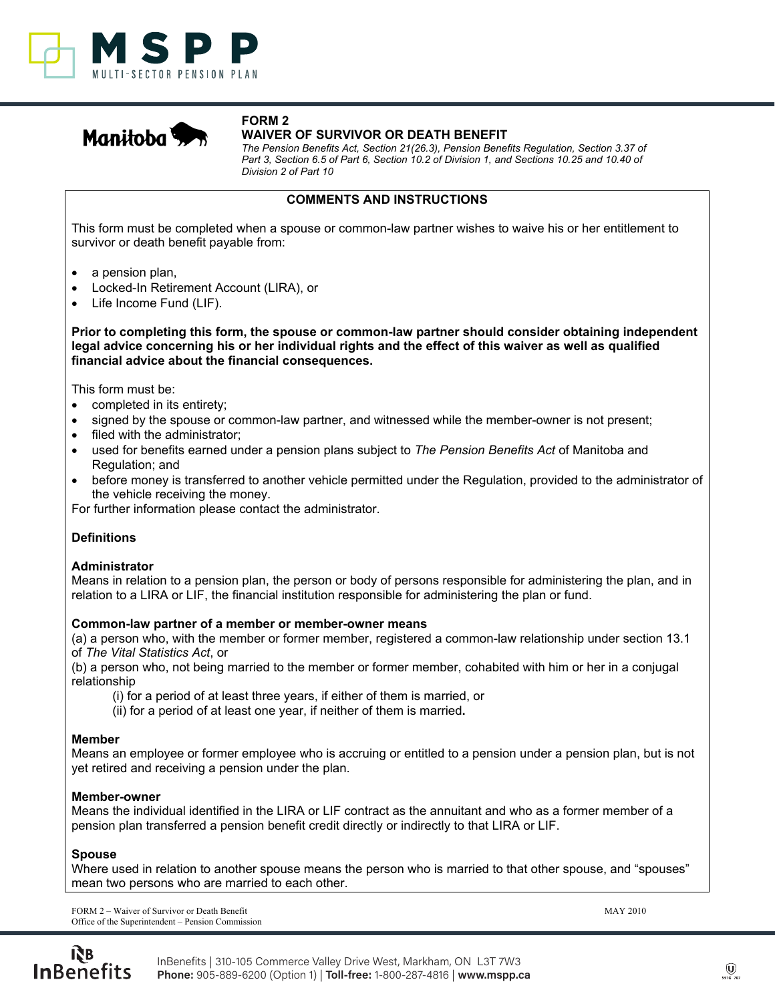



#### **FORM 2 WAIVER OF SURVIVOR OR DEATH BENEFIT**

The Pension Benefits Act, Section 21(26.3), Pension Benefits Regulation, Section 3.37 of Part 3, Section 6.5 of Part 6, Section 10.2 of Division 1, and Sections 10.25 and 10.40 of Division 2 of Part 10

#### **COMMENTS AND INSTRUCTIONS**

This form must be completed when a spouse or common-law partner wishes to waive his or her entitlement to survivor or death benefit payable from:

- a pension plan,
- Locked-In Retirement Account (LIRA), or
- Life Income Fund (LIF).

**Prior to completing this form, the spouse or common-law partner should consider obtaining independent** legal advice concerning his or her individual rights and the effect of this waiver as well as qualified financial advice about the financial consequences.

This form must be:

- completed in its entirety;
- signed by the spouse or common-law partner, and witnessed while the member-owner is not present;
- filed with the administrator;
- used for benefits earned under a pension plans subject to *The Pension Benefits Act* of Manitoba and Regulation; and
- before money is transferred to another vehicle permitted under the Regulation, provided to the administrator of the vehicle receiving the money.

For further information please contact the administrator.

## **Definitions**

#### **Administrator**

Means in relation to a pension plan, the person or body of persons responsible for administering the plan, and in relation to a LIRA or LIF, the financial institution responsible for administering the plan or fund.

#### Common-law partner of a member or member-owner means

(a) a person who, with the member or former member, registered a common-law relationship under section 13.1 of *The Vital Statistics Act*, or

(b) a person who, not being married to the member or former member, cohabited with him or her in a conjugal relationship

(i) for a period of at least three years, if either of them is married, or

(ii) for a period of at least one year, if neither of them is married.

#### **Member**

Means an employee or former employee who is accruing or entitled to a pension under a pension plan, but is not yet retired and receiving a pension under the plan.

## **Member-owner**

Means the individual identified in the LIRA or LIF contract as the annuitant and who as a former member of a pension plan transferred a pension benefit credit directly or indirectly to that LIRA or LIF.

## **Spouse**

Where used in relation to another spouse means the person who is married to that other spouse, and "spouses" mean two persons who are married to each other.

FORM 2 – Waiver of Survivor or Death Benefit MAY 2010 Office of the Superintendent – Pension Commission

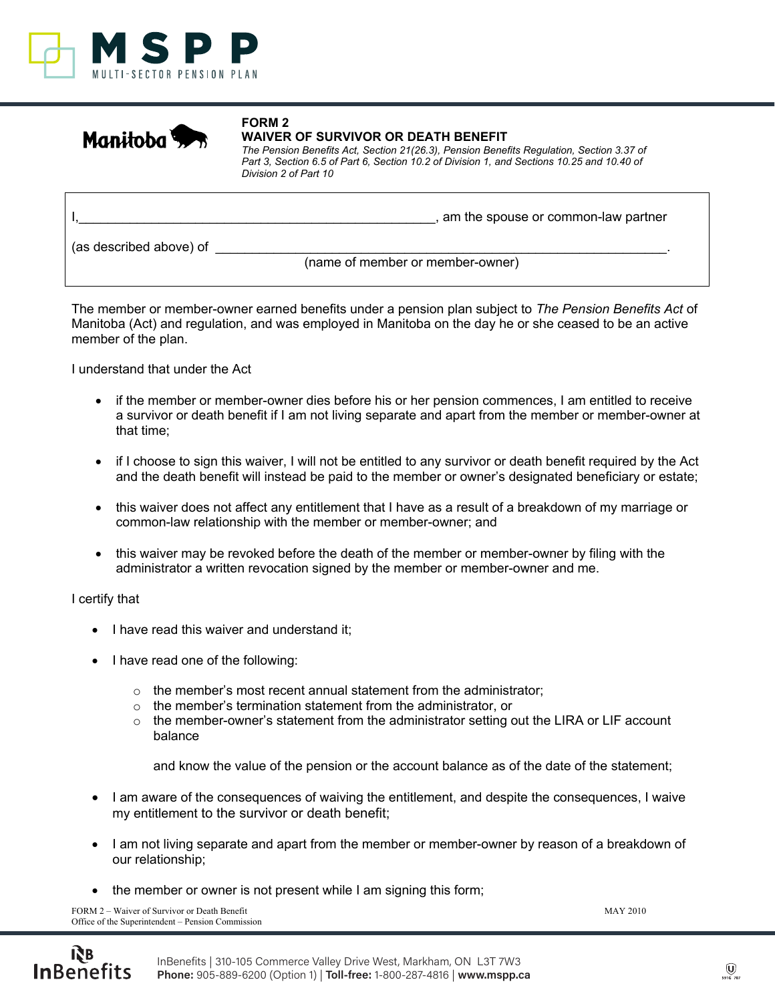



# **WAIVER OF SURVIVOR OR DEATH BENEFIT**

**FORM 2** 

The Pension Benefits Act, Section 21(26.3), Pension Benefits Regulation, Section 3.37 of Part 3, Section 6.5 of Part 6, Section 10.2 of Division 1, and Sections 10.25 and 10.40 of Division 2 of Part 10

|                         | , am the spouse or common-law partner |
|-------------------------|---------------------------------------|
| (as described above) of | (name of member or member-owner)      |

The member or member-owner earned benefits under a pension plan subject to *The Pension Benefits Act* of Manitoba (Act) and regulation, and was employed in Manitoba on the day he or she ceased to be an active member of the plan.

I understand that under the Act

- if the member or member-owner dies before his or her pension commences, I am entitled to receive a survivor or death benefit if I am not living separate and apart from the member or member-owner at that time;
- if I choose to sign this waiver, I will not be entitled to any survivor or death benefit required by the Act and the death benefit will instead be paid to the member or owner's designated beneficiary or estate;
- this waiver does not affect any entitlement that I have as a result of a breakdown of my marriage or common-law relationship with the member or member-owner; and
- this waiver may be revoked before the death of the member or member-owner by filing with the administrator a written revocation signed by the member or member-owner and me.

## I certify that

- I have read this waiver and understand it;
- I have read one of the following:
	- $\circ$  the member's most recent annual statement from the administrator;
	- $\circ$  the member's termination statement from the administrator, or
	- $\circ$  the member-owner's statement from the administrator setting out the LIRA or LIF account balance

and know the value of the pension or the account balance as of the date of the statement;

- I am aware of the consequences of waiving the entitlement, and despite the consequences, I waive my entitlement to the survivor or death benefit;
- I am not living separate and apart from the member or member-owner by reason of a breakdown of our relationship;
- the member or owner is not present while I am signing this form;

FORM 2 – Waiver of Survivor or Death Benefit MAY 2010 Office of the Superintendent – Pension Commission

ŔВ